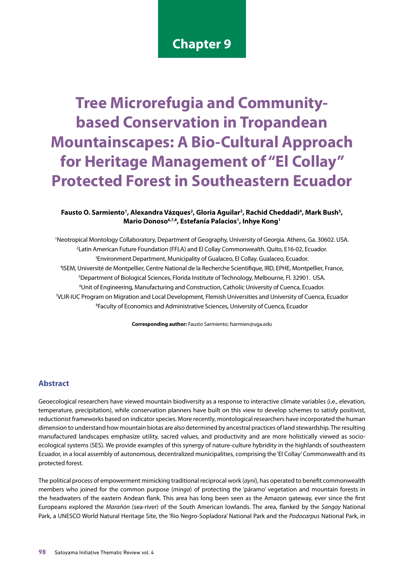# **Chapter 9**

# **Tree Microrefugia and Communitybased Conservation in Tropandean Mountainscapes: A Bio-Cultural Approach for Heritage Management of "El Collay" Protected Forest in Southeastern Ecuador**

### Fausto O. Sarmiento<sup>1</sup>, Alexandra Vázques<sup>2</sup>, Gloria Aguilar<sup>3</sup>, Rachid Cheddadi<sup>4</sup>, Mark Bush<sup>5</sup>, **Mario Donoso6,7,8, Estefanía Palacios1 , Inhye Kong1**

 Neotropical Montology Collaboratory, Department of Geography, University of Georgia. Athens, Ga. 30602. USA. Latin American Future Foundation (FFLA) and El Collay Commonwealth. Quito, E16-02, Ecuador. Environment Department, Municipality of Gualaceo, El Collay. Gualaceo, Ecuador. ISEM, Université de Montpellier, Centre National de la Recherche Scientifique, IRD, EPHE, Montpellier, France, Department of Biological Sciences, Florida Institute of Technology, Melbourne, Fl. 32901. USA. Unit of Engineering, Manufacturing and Construction, Catholic University of Cuenca, Ecuador. VLIR-IUC Program on Migration and Local Development, Flemish Universities and University of Cuenca, Ecuador Faculty of Economics and Administrative Sciences, University of Cuenca, Ecuador

**Corresponding author:** Fausto Sarmiento; fsarmien@uga.edu

# **Abstract**

Geoecological researchers have viewed mountain biodiversity as a response to interactive climate variables (i.e., elevation, temperature, precipitation), while conservation planners have built on this view to develop schemes to satisfy positivist, reductionist frameworks based on indicator species. More recently, montological researchers have incorporated the human dimension to understand how mountain biotas are also determined by ancestral practices of land stewardship. The resulting manufactured landscapes emphasize utility, sacred values, and productivity and are more holistically viewed as socioecological systems (SES). We provide examples of this synergy of nature-culture hybridity in the highlands of southeastern Ecuador, in a local assembly of autonomous, decentralized municipalities, comprising the 'El Collay' Commonwealth and its protected forest.

The political process of empowerment mimicking traditional reciprocal work (*ayni*), has operated to benefit commonwealth members who joined for the common purpose (*minga*) of protecting the 'páramo' vegetation and mountain forests in the headwaters of the eastern Andean flank. This area has long been seen as the Amazon gateway, ever since the first Europeans explored the *Marañón* (sea-river) of the South American lowlands. The area, flanked by the *Sangay* National Park, a UNESCO World Natural Heritage Site, the 'Rio Negro-Sopladora' National Park and the *Podocarpus* National Park, in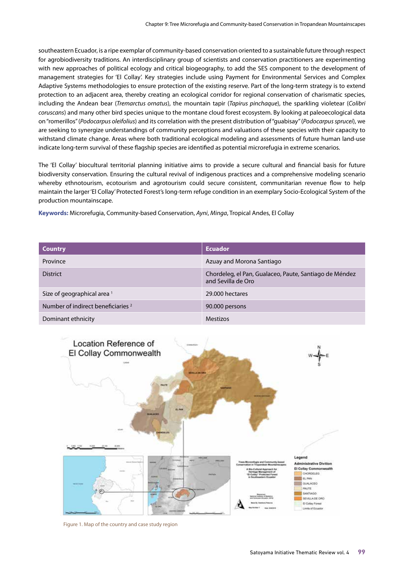southeastern Ecuador, is a ripe exemplar of community-based conservation oriented to a sustainable future through respect for agrobiodiversity traditions. An interdisciplinary group of scientists and conservation practitioners are experimenting with new approaches of political ecology and critical biogeography, to add the SES component to the development of management strategies for 'El Collay'. Key strategies include using Payment for Environmental Services and Complex Adaptive Systems methodologies to ensure protection of the existing reserve. Part of the long-term strategy is to extend protection to an adjacent area, thereby creating an ecological corridor for regional conservation of charismatic species, including the Andean bear (*Tremarctus ornatus*), the mountain tapir (*Tapirus pinchaque*), the sparkling violetear (*Colibri coruscans*) and many other bird species unique to the montane cloud forest ecosystem. By looking at paleoecological data on "romerillos" (*Podocarpus oleifolius*) and its correlation with the present distribution of "guabisay" (*Podocarpus sprucei*), we are seeking to synergize understandings of community perceptions and valuations of these species with their capacity to withstand climate change. Areas where both traditional ecological modeling and assessments of future human land-use indicate long-term survival of these flagship species are identified as potential microrefugia in extreme scenarios.

The 'El Collay' biocultural territorial planning initiative aims to provide a secure cultural and financial basis for future biodiversity conservation. Ensuring the cultural revival of indigenous practices and a comprehensive modeling scenario whereby ethnotourism, ecotourism and agrotourism could secure consistent, communitarian revenue flow to help maintain the larger 'El Collay' Protected Forest's long-term refuge condition in an exemplary Socio-Ecological System of the production mountainscape.

**Keywords:** Microrefugia, Community-based Conservation, *Ayni*, *Minga*, Tropical Andes, El Collay

| <b>Country</b>                                | <b>Ecuador</b>                                                               |
|-----------------------------------------------|------------------------------------------------------------------------------|
| Province                                      | Azuay and Morona Santiago                                                    |
| <b>District</b>                               | Chordeleg, el Pan, Gualaceo, Paute, Santiago de Méndez<br>and Sevilla de Oro |
| Size of geographical area <sup>1</sup>        | 29,000 hectares                                                              |
| Number of indirect beneficiaries <sup>2</sup> | 90.000 persons                                                               |
| Dominant ethnicity                            | <b>Mestizos</b>                                                              |



Figure 1. Map of the country and case study region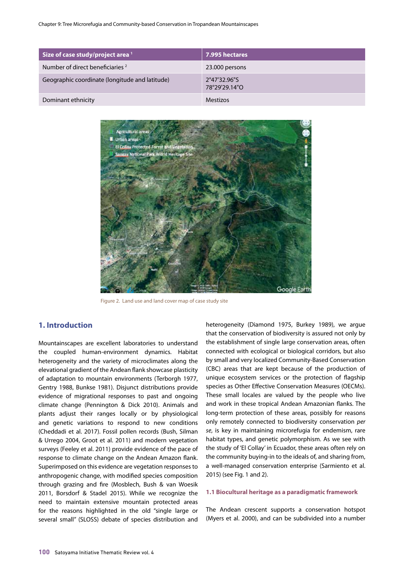Chapter 9: Tree Microrefugia and Community-based Conservation in Tropandean Mountainscapes

| Size of case study/project area <sup>1</sup>   | 7.995 hectares                |
|------------------------------------------------|-------------------------------|
| Number of direct beneficiaries <sup>2</sup>    | 23.000 persons                |
| Geographic coordinate (longitude and latitude) | 2°47'32.96"S<br>78°29'29.14"O |
| Dominant ethnicity                             | <b>Mestizos</b>               |



Figure 2. Land use and land cover map of case study site

### **1. Introduction**

Mountainscapes are excellent laboratories to understand the coupled human-environment dynamics. Habitat heterogeneity and the variety of microclimates along the elevational gradient of the Andean flank showcase plasticity of adaptation to mountain environments (Terborgh 1977, Gentry 1988, Bunkse 1981). Disjunct distributions provide evidence of migrational responses to past and ongoing climate change (Pennington & Dick 2010). Animals and plants adjust their ranges locally or by physiological and genetic variations to respond to new conditions (Cheddadi et al. 2017). Fossil pollen records (Bush, Silman & Urrego 2004, Groot et al. 2011) and modern vegetation surveys (Feeley et al. 2011) provide evidence of the pace of response to climate change on the Andean Amazon flank. Superimposed on this evidence are vegetation responses to anthropogenic change, with modified species composition through grazing and fire (Mosblech, Bush & van Woesik 2011, Borsdorf & Stadel 2015). While we recognize the need to maintain extensive mountain protected areas for the reasons highlighted in the old "single large or several small" (SLOSS) debate of species distribution and

heterogeneity (Diamond 1975, Burkey 1989), we argue that the conservation of biodiversity is assured not only by the establishment of single large conservation areas, often connected with ecological or biological corridors, but also by small and very localized Community-Based Conservation (CBC) areas that are kept because of the production of unique ecosystem services or the protection of flagship species as Other Effective Conservation Measures (OECMs). These small locales are valued by the people who live and work in these tropical Andean Amazonian flanks. The long-term protection of these areas, possibly for reasons only remotely connected to biodiversity conservation *per se*, is key in maintaining microrefugia for endemism, rare habitat types, and genetic polymorphism. As we see with the study of 'El Collay' in Ecuador, these areas often rely on the community buying-in to the ideals of, and sharing from, a well-managed conservation enterprise (Sarmiento et al. 2015) (see Fig. 1 and 2).

#### **1.1 Biocultural heritage as a paradigmatic framework**

The Andean crescent supports a conservation hotspot (Myers et al. 2000), and can be subdivided into a number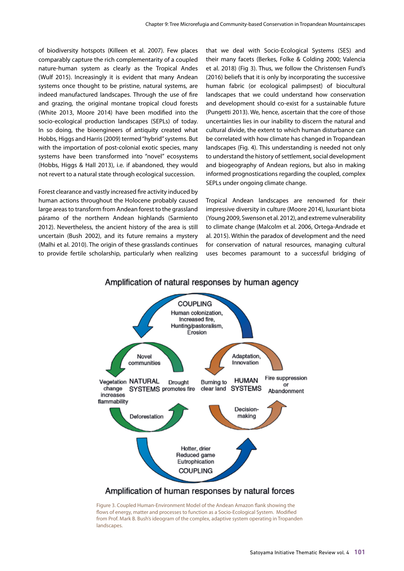of biodiversity hotspots (Killeen et al. 2007). Few places comparably capture the rich complementarity of a coupled nature-human system as clearly as the Tropical Andes (Wulf 2015). Increasingly it is evident that many Andean systems once thought to be pristine, natural systems, are indeed manufactured landscapes. Through the use of fire and grazing, the original montane tropical cloud forests (White 2013, Moore 2014) have been modified into the socio-ecological production landscapes (SEPLs) of today. In so doing, the bioengineers of antiquity created what Hobbs, Higgs and Harris (2009) termed "hybrid" systems. But with the importation of post-colonial exotic species, many systems have been transformed into "novel" ecosystems (Hobbs, Higgs & Hall 2013), i.e. if abandoned, they would not revert to a natural state through ecological succession.

Forest clearance and vastly increased fire activity induced by human actions throughout the Holocene probably caused large areas to transform from Andean forest to the grassland páramo of the northern Andean highlands (Sarmiento 2012). Nevertheless, the ancient history of the area is still uncertain (Bush 2002), and its future remains a mystery (Malhi et al. 2010). The origin of these grasslands continues to provide fertile scholarship, particularly when realizing

that we deal with Socio-Ecological Systems (SES) and their many facets (Berkes, Folke & Colding 2000; Valencia et al. 2018) (Fig 3). Thus, we follow the Christensen Fund's (2016) beliefs that it is only by incorporating the successive human fabric (or ecological palimpsest) of biocultural landscapes that we could understand how conservation and development should co-exist for a sustainable future (Pungetti 2013). We, hence, ascertain that the core of those uncertainties lies in our inability to discern the natural and cultural divide, the extent to which human disturbance can be correlated with how climate has changed in Tropandean landscapes (Fig. 4). This understanding is needed not only to understand the history of settlement, social development and biogeography of Andean regions, but also in making informed prognostications regarding the coupled, complex SEPLs under ongoing climate change.

Tropical Andean landscapes are renowned for their impressive diversity in culture (Moore 2014), luxuriant biota (Young 2009, Swenson et al. 2012), and extreme vulnerability to climate change (Malcolm et al. 2006, Ortega-Andrade et al. 2015). Within the paradox of development and the need for conservation of natural resources, managing cultural uses becomes paramount to a successful bridging of



#### Amplification of natural responses by human agency

Figure 3. Coupled Human-Environment Model of the Andean Amazon flank showing the flows of energy, matter and processes to function as a Socio-Ecological System. Modified from Prof. Mark B. Bush's ideogram of the complex, adaptive system operating in Tropanden landscapes.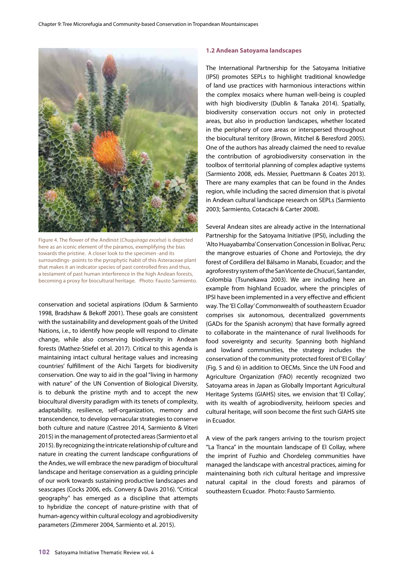

Figure 4. The flower of the Andinist (*Chuquiraga excelsa*) is depicted here as an iconic element of the páramos, exemplifying the bias towards the pristine. A closer look to the specimen -and its surroundings- points to the pyrophytic habit of this Asteraceae plant that makes it an indicator species of past controlled fires and thus, a testament of past human interference in the high Andean forests, becoming a proxy for biocultural heritage. Photo: Fausto Sarmiento.

conservation and societal aspirations (Odum & Sarmiento 1998, Bradshaw & Bekoff 2001). These goals are consistent with the sustainability and development goals of the United Nations, i.e., to identify how people will respond to climate change, while also conserving biodiversity in Andean forests (Mathez-Stiefel et al. 2017). Critical to this agenda is maintaining intact cultural heritage values and increasing countries' fulfillment of the Aichi Targets for biodiversity conservation. One way to aid in the goal "living in harmony with nature" of the UN Convention of Biological Diversity, is to debunk the pristine myth and to accept the new biocultural diversity paradigm with its tenets of complexity, adaptability, resilience, self-organization, memory and transcendence, to develop vernacular strategies to conserve both culture and nature (Castree 2014, Sarmiento & Viteri 2015) in the management of protected areas (Sarmiento et al 2015). By recognizing the intricate relationship of culture and nature in creating the current landscape configurations of the Andes, we will embrace the new paradigm of biocultural landscape and heritage conservation as a guiding principle of our work towards sustaining productive landscapes and seascapes (Cocks 2006, eds. Convery & Davis 2016). "Critical geography" has emerged as a discipline that attempts to hybridize the concept of nature-pristine with that of human-agency within cultural ecology and agrobiodiversity parameters (Zimmerer 2004, Sarmiento et al. 2015).

#### **1.2 Andean Satoyama landscapes**

The International Partnership for the Satoyama Initiative (IPSI) promotes SEPLs to highlight traditional knowledge of land use practices with harmonious interactions within the complex mosaics where human well-being is coupled with high biodiversity (Dublin & Tanaka 2014). Spatially, biodiversity conservation occurs not only in protected areas, but also in production landscapes, whether located in the periphery of core areas or interspersed throughout the biocultural territory (Brown, Mitchel & Beresford 2005). One of the authors has already claimed the need to revalue the contribution of agrobiodiversity conservation in the toolbox of territorial planning of complex adaptive systems (Sarmiento 2008, eds. Messier, Puettmann & Coates 2013). There are many examples that can be found in the Andes region, while including the sacred dimension that is pivotal in Andean cultural landscape research on SEPLs (Sarmiento 2003; Sarmiento, Cotacachi & Carter 2008).

Several Andean sites are already active in the International Partnership for the Satoyama Initiative (IPSI), including the 'Alto Huayabamba' Conservation Concession in Bolívar, Peru; the mangrove estuaries of Chone and Portoviejo, the dry forest of Cordillera del Bálsamo in Manabi, Ecuador; and the agroforestry system of the San Vicente de Chucurí, Santander, Colombia (Tsunekawa 2003). We are including here an example from highland Ecuador, where the principles of IPSI have been implemented in a very effective and efficient way. The 'El Collay' Commonwealth of southeastern Ecuador comprises six autonomous, decentralized governments (GADs for the Spanish acronym) that have formally agreed to collaborate in the maintenance of rural livelihoods for food sovereignty and security. Spanning both highland and lowland communities, the strategy includes the conservation of the community protected forest of 'El Collay' (Fig. 5 and 6) in addition to OECMs. Since the UN Food and Agriculture Organization (FAO) recently recognized two Satoyama areas in Japan as Globally Important Agricultural Heritage Systems (GIAHS) sites, we envision that 'El Collay', with its wealth of agrobiodiversity, heirloom species and cultural heritage, will soon become the first such GIAHS site in Ecuador.

A view of the park rangers arriving to the tourism project "La Tranca" in the mountain landscape of El Collay, where the imprint of Fuzhio and Chordeleg communities have managed the landscape with ancestral practices, aiming for maintenaining both rich cultural heritage and impressive natural capital in the cloud forests and páramos of southeastern Ecuador. Photo: Fausto Sarmiento.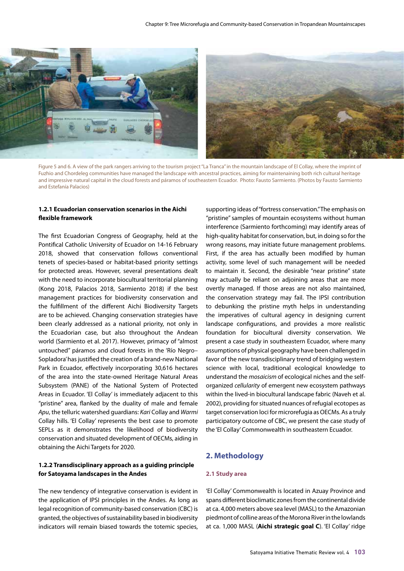

Figure 5 and 6. A view of the park rangers arriving to the tourism project "La Tranca" in the mountain landscape of El Collay, where the imprint of Fuzhio and Chordeleg communities have managed the landscape with ancestral practices, aiming for maintenaining both rich cultural heritage and impressive natural capital in the cloud forests and páramos of southeastern Ecuador. Photo: Fausto Sarmiento. (Photos by Fausto Sarmiento and Estefanía Palacios)

#### **1.2.1 Ecuadorian conservation scenarios in the Aichi flexible framework**

The first Ecuadorian Congress of Geography, held at the Pontifical Catholic University of Ecuador on 14-16 February 2018, showed that conservation follows conventional tenets of species-based or habitat-based priority settings for protected areas. However, several presentations dealt with the need to incorporate biocultural territorial planning (Kong 2018, Palacios 2018, Sarmiento 2018) if the best management practices for biodiversity conservation and the fulfillment of the different Aichi Biodiversity Targets are to be achieved. Changing conservation strategies have been clearly addressed as a national priority, not only in the Ecuadorian case, but also throughout the Andean world (Sarmiento et al. 2017). However, primacy of "almost untouched" páramos and cloud forests in the 'Río Negro– Sopladora' has justified the creation of a brand-new National Park in Ecuador, effectively incorporating 30,616 hectares of the area into the state-owned Heritage Natural Areas Subsystem (PANE) of the National System of Protected Areas in Ecuador. 'El Collay' is immediately adjacent to this "pristine" area, flanked by the duality of male and female *Apu*, the telluric watershed guardians: *Kari* Collay and *Warmi*  Collay hills. 'El Collay' represents the best case to promote SEPLs as it demonstrates the likelihood of biodiversity conservation and situated development of OECMs, aiding in obtaining the Aichi Targets for 2020.

#### **1.2.2 Transdisciplinary approach as a guiding principle for Satoyama landscapes in the Andes**

The new tendency of integrative conservation is evident in the application of IPSI principles in the Andes. As long as legal recognition of community-based conservation (CBC) is granted, the objectives of sustainability based in biodiversity indicators will remain biased towards the totemic species,

supporting ideas of "fortress conservation." The emphasis on "pristine" samples of mountain ecosystems without human interference (Sarmiento forthcoming) may identify areas of high-quality habitat for conservation, but, in doing so for the wrong reasons, may initiate future management problems. First, if the area has actually been modified by human activity, some level of such management will be needed to maintain it. Second, the desirable "near pristine" state may actually be reliant on adjoining areas that are more overtly managed. If those areas are not also maintained, the conservation strategy may fail. The IPSI contribution to debunking the pristine myth helps in understanding the imperatives of cultural agency in designing current landscape configurations, and provides a more realistic foundation for biocultural diversity conservation. We present a case study in southeastern Ecuador, where many assumptions of physical geography have been challenged in favor of the new transdisciplinary trend of bridging western science with local, traditional ecological knowledge to understand the *mosaicism* of ecological niches and the selforganized *cellularity* of emergent new ecosystem pathways within the lived-in biocultural landscape fabric (Naveh et al. 2002), providing for situated nuances of refugial ecotopes as target conservation loci for microrefugia as OECMs. As a truly participatory outcome of CBC, we present the case study of the 'El Collay' Commonwealth in southeastern Ecuador.

# **2. Methodology**

#### **2.1 Study area**

'El Collay' Commonwealth is located in Azuay Province and spans different bioclimatic zones from the continental divide at ca. 4,000 meters above sea level (MASL) to the Amazonian piedmont of colline areas of the Morona River in the lowlands at ca. 1,000 MASL (**Aichi strategic goal C**). 'El Collay' ridge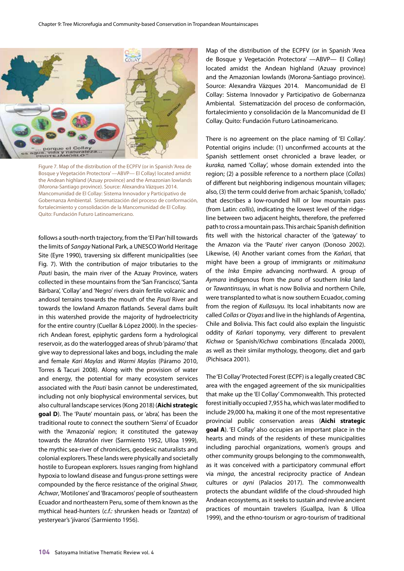

Figure 7. Map of the distribution of the ECPFV (or in Spanish 'Area de Bosque y Vegetación Protectora' —ABVP— El Collay) located amidst the Andean highland (Azuay province) and the Amazonian lowlands (Morona-Santiago province). Source: Alexandra Vázques 2014. Mancomunidad de El Collay: Sistema Innovador y Participativo de Gobernanza Ambiental. Sistematización del proceso de conformación, fortalecimiento y consolidación de la Mancomunidad de El Collay. Quito: Fundación Futuro Latinoamericano.

follows a south-north trajectory, from the 'El Pan' hill towards the limits of *Sangay* National Park, a UNESCO World Heritage Site (Eyre 1990), traversing six different municipalities (see Fig. 7). With the contribution of major tributaries to the *Pauti* basin, the main river of the Azuay Province, waters collected in these mountains from the 'San Francisco', 'Santa Bárbara', 'Collay' and 'Negro' rivers drain fertile volcanic and andosol terrains towards the mouth of the *Pauti* River and towards the lowland Amazon flatlands. Several dams built in this watershed provide the majority of hydroelectricity for the entire country (Cuellar & López 2000). In the speciesrich Andean forest, epiphytic gardens form a hydrological reservoir, as do the waterlogged areas of shrub 'páramo' that give way to depressional lakes and bogs, including the male and female *Kari Maylas* and *Warmi Maylas* (Páramo 2010, Torres & Tacuri 2008). Along with the provision of water and energy, the potential for many ecosystem services associated with the *Pauti* basin cannot be underestimated, including not only biophysical environmental services, but also cultural landscape services (Kong 2018) (**Aichi strategic goal D**). The 'Paute' mountain pass, or 'abra', has been the traditional route to connect the southern 'Sierra' of Ecuador with the 'Amazonía' region; it constituted the gateway towards the *Marañón* river (Sarmiento 1952, Ulloa 1999), the mythic sea-river of chroniclers, geodesic naturalists and colonial explorers. These lands were physically and societally hostile to European explorers. Issues ranging from highland hypoxia to lowland disease and fungus-prone settings were compounded by the fierce resistance of the original *Shwar, Achwar*, 'Motilones' and 'Bracamoros' people of southeastern Ecuador and northeastern Peru, some of them known as the mythical head-hunters (*c.f.:* shrunken heads or *Tzantza*) of yesteryear's 'jívaros' (Sarmiento 1956).

Map of the distribution of the ECPFV (or in Spanish 'Area de Bosque y Vegetación Protectora' —ABVP— El Collay) located amidst the Andean highland (Azuay province) and the Amazonian lowlands (Morona-Santiago province). Source: Alexandra Vázques 2014. Mancomunidad de El Collay: Sistema Innovador y Participativo de Gobernanza Ambiental. Sistematización del proceso de conformación, fortalecimiento y consolidación de la Mancomunidad de El Collay. Quito: Fundación Futuro Latinoamericano.

There is no agreement on the place naming of 'El Collay'. Potential origins include: (1) unconfirmed accounts at the Spanish settlement onset chronicled a brave leader, or *kuraka,* named 'Collay', whose domain extended into the region; (2) a possible reference to a northern place (*Collas*) of different but neighboring indigenous mountain villages; also, (3) the term could derive from archaic Spanish, 'collado,' that describes a low-rounded hill or low mountain pass (from Latin: *collis*), indicating the lowest level of the ridgeline between two adjacent heights, therefore, the preferred path to cross a mountain pass. This archaic Spanish definition fits well with the historical character of the 'gateway' to the Amazon via the 'Paute' river canyon (Donoso 2002). Likewise, (4) Another variant comes from the *Kañari,* that might have been a group of immigrants or *mitimakuna*  of the *Inka* Empire advancing northward. A group of *Aymara* indigenous from the *puna* of southern *Inka* land or *Tawantinsuyu,* in what is now Bolivia and northern Chile, were transplanted to what is now southern Ecuador, coming from the region of *Kullasuyu.* Its local inhabitants now are called *Collas* or *Q'oyas* and live in the highlands of Argentina, Chile and Bolivia. This fact could also explain the linguistic oddity of *Kañari* toponymy, very different to prevalent *Kichwa* or Spanish/*Kichwa* combinations (Encalada 2000), as well as their similar mythology, theogony, diet and garb (Pichisaca 2001).

The 'El Collay' Protected Forest (ECPF) is a legally created CBC area with the engaged agreement of the six municipalities that make up the 'El Collay' Commonwealth. This protected forest initially occupied 7,955 ha, which was later modified to include 29,000 ha, making it one of the most representative provincial public conservation areas (**Aichi strategic goal A**). 'El Collay' also occupies an important place in the hearts and minds of the residents of these municipalities including parochial organizations, women's groups and other community groups belonging to the commonwealth, as it was conceived with a participatory communal effort via *minga*, the ancestral reciprocity practice of Andean cultures or *ayni* (Palacios 2017). The commonwealth protects the abundant wildlife of the cloud-shrouded high Andean ecosystems, as it seeks to sustain and revive ancient practices of mountain travelers (Guallpa, Ivan & Ulloa 1999), and the ethno-tourism or agro-tourism of traditional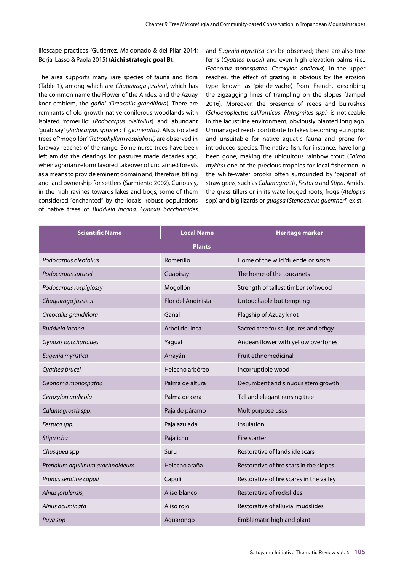lifescape practices (Gutiérrez, Maldonado & del Pilar 2014; Borja, Lasso & Paola 2015) (**Aichi strategic goal B**).

The area supports many rare species of fauna and flora (Table 1), among which are *Chuquiraga jussieui*, which has the common name the Flower of the Andes, and the Azuay knot emblem, the *gañal (Oreocallis grandiflora*)*.* There are remnants of old growth native coniferous woodlands with isolated 'romerillo' (*Podocarpus oleifolius*) and abundant 'guabisay' (*Podocarpus sprucei* c.f. *glomeratus).* Also, isolated trees of 'mogollón' *(Retrophyllum rospigliosii)* are observed in faraway reaches of the range. Some nurse trees have been left amidst the clearings for pastures made decades ago, when agrarian reform favored takeover of unclaimed forests as a means to provide eminent domain and, therefore, titling and land ownership for settlers (Sarmiento 2002). Curiously, in the high ravines towards lakes and bogs, some of them considered "enchanted" by the locals, robust populations of native trees of *Buddleia incana, Gynoxis baccharoides*

and *Eugenia myristica* can be observed; there are also tree ferns (*Cyathea brucei*) and even high elevation palms (i.e., *Geonoma monospatha*, *Ceroxylon andicola*). In the upper reaches, the effect of grazing is obvious by the erosion type known as 'pie-de-vache', from French, describing the zigzagging lines of trampling on the slopes (Jampel 2016). Moreover, the presence of reeds and bulrushes (*Schoenoplectus californicus*, *Phragmites spp*.) is noticeable in the lacustrine environment, obviously planted long ago. Unmanaged reeds contribute to lakes becoming eutrophic and unsuitable for native aquatic fauna and prone for introduced species. The native fish, for instance, have long been gone, making the ubiquitous rainbow trout (*Salmo mykiss*) one of the precious trophies for local fishermen in the white-water brooks often surrounded by 'pajonal' of straw grass, such as *Calamagrostis*, *Festuca* and *Stipa*. Amidst the grass tillers or in its waterlogged roots, frogs (*Atelopus* spp) and big lizards or *guagsa* (*Stenocercus guentheri*) exist.

| <b>Scientific Name</b>           | <b>Local Name</b>  | <b>Heritage marker</b>                   |  |  |  |
|----------------------------------|--------------------|------------------------------------------|--|--|--|
| <b>Plants</b>                    |                    |                                          |  |  |  |
| Podocarpus oleofolius            | Romerillo          | Home of the wild 'duende' or sinsin      |  |  |  |
| Podocarpus sprucei               | Guabisay           | The home of the toucanets                |  |  |  |
| Podocarpus rospiglossy           | Mogollón           | Strength of tallest timber softwood      |  |  |  |
| Chuquiraga jussieui              | Flor del Andinista | Untouchable but tempting                 |  |  |  |
| Oreocallis grandiflora           | Gañal              | Flagship of Azuay knot                   |  |  |  |
| Buddleia incana                  | Arbol del Inca     | Sacred tree for sculptures and effigy    |  |  |  |
| Gynoxis baccharoides             | Yagual             | Andean flower with yellow overtones      |  |  |  |
| Eugenia myristica                | Arrayán            | Fruit ethnomedicinal                     |  |  |  |
| Cyathea brucei                   | Helecho arbóreo    | Incorruptible wood                       |  |  |  |
| Geonoma monospatha               | Palma de altura    | Decumbent and sinuous stem growth        |  |  |  |
| Ceroxylon andicola               | Palma de cera      | Tall and elegant nursing tree            |  |  |  |
| Calamagrostis spp,               | Paja de páramo     | Multipurpose uses                        |  |  |  |
| Festuca spp.                     | Paja azulada       | Insulation                               |  |  |  |
| Stipa ichu                       | Paja ichu          | Fire starter                             |  |  |  |
| Chusquea spp                     | Suru               | Restorative of landslide scars           |  |  |  |
| Pteridium aquilinum arachnoideum | Helecho araña      | Restorative of fire scars in the slopes  |  |  |  |
| Prunus serotine capuli           | Capuli             | Restorative of fire scares in the valley |  |  |  |
| Alnus jorulensis,                | Aliso blanco       | Restorative of rockslides                |  |  |  |
| Alnus acuminata                  | Aliso rojo         | Restorative of alluvial mudslides        |  |  |  |
| Puya spp                         | Aguarongo          | Emblematic highland plant                |  |  |  |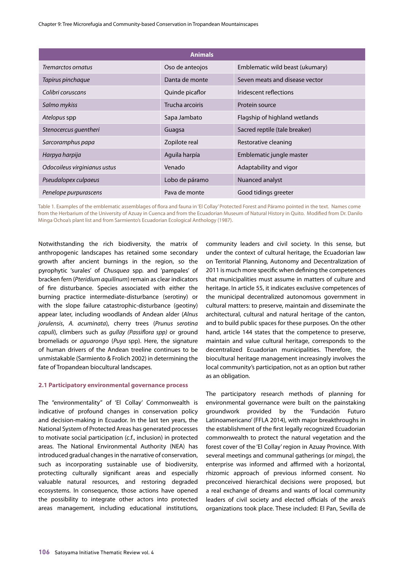Chapter 9: Tree Microrefugia and Community-based Conservation in Tropandean Mountainscapes

| <b>Animals</b>               |                 |                                 |  |  |
|------------------------------|-----------------|---------------------------------|--|--|
| Tremarctos ornatus           | Oso de anteojos | Emblematic wild beast (ukumary) |  |  |
| Tapirus pinchaque            | Danta de monte  | Seven meats and disease vector  |  |  |
| Colibri coruscans            | Quinde picaflor | Iridescent reflections          |  |  |
| Salmo mykiss                 | Trucha arcoiris | Protein source                  |  |  |
| Atelopus spp                 | Sapa Jambato    | Flagship of highland wetlands   |  |  |
| Stenocercus quentheri        | Guagsa          | Sacred reptile (tale breaker)   |  |  |
| Sarcoramphus papa            | Zopilote real   | Restorative cleaning            |  |  |
| Harpya harpija               | Aguila harpía   | Emblematic jungle master        |  |  |
| Odocoileus virginianus ustus | Venado          | Adaptability and vigor          |  |  |
| Pseudalopex culpaeus         | Lobo de páramo  | Nuanced analyst                 |  |  |
| Penelope purpurascens        | Pava de monte   | Good tidings greeter            |  |  |

Table 1. Examples of the emblematic assemblages of flora and fauna in 'El Collay' Protected Forest and Páramo pointed in the text. Names come from the Herbarium of the University of Azuay in Cuenca and from the Ecuadorian Museum of Natural History in Quito. Modified from Dr. Danilo Minga Ochoa's plant list and from Sarmiento's Ecuadorian Ecological Anthology (1987).

Notwithstanding the rich biodiversity, the matrix of anthropogenic landscapes has retained some secondary growth after ancient burnings in the region, so the pyrophytic 'surales' of *Chusquea* spp. and 'pampales' of bracken fern (*Pteridium gauilinum*) remain as clear indicators of fire disturbance. Species associated with either the burning practice intermediate-disturbance (serotiny) or with the slope failure catastrophic-disturbance (geotiny) appear later, including woodlands of Andean alder (*Alnus jorulensis*, *A. acuminata*), cherry trees (*Prunus serotina capuli*), climbers such as *gullay (Passiflora spp)* or ground bromeliads or *aguarongo* (*Puya* spp). Here, the signature of human drivers of the Andean treeline continues to be unmistakable (Sarmiento & Frolich 2002) in determining the fate of Tropandean biocultural landscapes.

#### **2.1 Participatory environmental governance process**

The "environmentality" of 'El Collay' Commonwealth is indicative of profound changes in conservation policy and decision-making in Ecuador. In the last ten years, the National System of Protected Areas has generated processes to motivate social participation (c.f., inclusion) in protected areas. The National Environmental Authority (NEA) has introduced gradual changes in the narrative of conservation, such as incorporating sustainable use of biodiversity, protecting culturally significant areas and especially valuable natural resources, and restoring degraded ecosystems. In consequence, those actions have opened the possibility to integrate other actors into protected areas management, including educational institutions, community leaders and civil society. In this sense, but under the context of cultural heritage, the Ecuadorian law on Territorial Planning, Autonomy and Decentralization of 2011 is much more specific when defining the competences that municipalities must assume in matters of culture and heritage. In article 55, it indicates exclusive competences of the municipal decentralized autonomous government in cultural matters: to preserve, maintain and disseminate the architectural, cultural and natural heritage of the canton, and to build public spaces for these purposes. On the other hand, article 144 states that the competence to preserve, maintain and value cultural heritage, corresponds to the decentralized Ecuadorian municipalities. Therefore, the biocultural heritage management increasingly involves the local community's participation, not as an option but rather as an obligation.

The participatory research methods of planning for environmental governance were built on the painstaking groundwork provided by the 'Fundación Futuro Latinoamericano' (FFLA 2014), with major breakthroughs in the establishment of the first legally recognized Ecuadorian commonwealth to protect the natural vegetation and the forest cover of the 'El Collay' region in Azuay Province. With several meetings and communal gatherings (or *minga*), the enterprise was informed and affirmed with a horizontal, rhizomic approach of previous informed consent. No preconceived hierarchical decisions were proposed, but a real exchange of dreams and wants of local community leaders of civil society and elected officials of the area's organizations took place. These included: El Pan, Sevilla de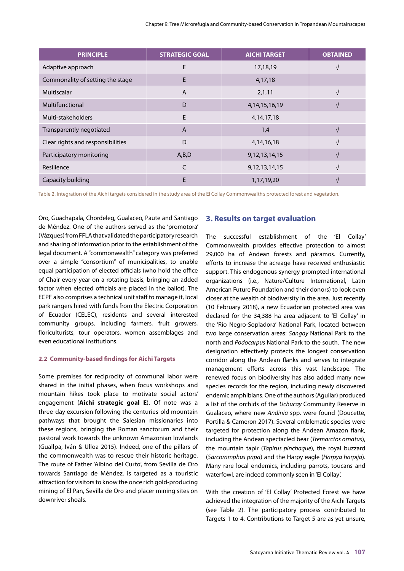| <b>PRINCIPLE</b>                  | <b>STRATEGIC GOAL</b> | <b>AICHI TARGET</b> | <b>OBTAINED</b> |
|-----------------------------------|-----------------------|---------------------|-----------------|
| Adaptive approach                 | E                     | 17,18,19            |                 |
| Commonality of setting the stage  | E                     | 4,17,18             |                 |
| Multiscalar                       | $\overline{A}$        | 2,1,11              |                 |
| Multifunctional                   | D                     | 4, 14, 15, 16, 19   |                 |
| Multi-stakeholders                | E                     | 4, 14, 17, 18       |                 |
| Transparently negotiated          | $\overline{A}$        | 1,4                 |                 |
| Clear rights and responsibilities | D                     | 4, 14, 16, 18       |                 |
| Participatory monitoring          | A,B,D                 | 9, 12, 13, 14, 15   | $\mathcal{N}$   |
| Resilience                        | C                     | 9, 12, 13, 14, 15   |                 |
| Capacity building                 | E                     | 1,17,19,20          |                 |

Table 2. Integration of the Aichi targets considered in the study area of the El Collay Commonwealth's protected forest and vegetation.

Oro, Guachapala, Chordeleg, Gualaceo, Paute and Santiago de Méndez. One of the authors served as the 'promotora' (Vázques) from FFLA that validated the participatory research and sharing of information prior to the establishment of the legal document. A "commonwealth" category was preferred over a simple "consortium" of municipalities, to enable equal participation of elected officials (who hold the office of Chair every year on a rotating basis, bringing an added factor when elected officials are placed in the ballot). The ECPF also comprises a technical unit staff to manage it, local park rangers hired with funds from the Electric Corporation of Ecuador (CELEC), residents and several interested community groups, including farmers, fruit growers, floriculturists, tour operators, women assemblages and even educational institutions.

#### **2.2 Community-based findings for Aichi Targets**

Some premises for reciprocity of communal labor were shared in the initial phases, when focus workshops and mountain hikes took place to motivate social actors' engagement (**Aichi strategic goal E**). Of note was a three-day excursion following the centuries-old mountain pathways that brought the Salesian missionaries into these regions, bringing the Roman sanctorum and their pastoral work towards the unknown Amazonian lowlands (Guallpa, Iván & Ulloa 2015). Indeed, one of the pillars of the commonwealth was to rescue their historic heritage. The route of Father 'Albino del Curto', from Sevilla de Oro towards Santiago de Méndez, is targeted as a touristic attraction for visitors to know the once rich gold-producing mining of El Pan, Sevilla de Oro and placer mining sites on downriver shoals.

#### **3. Results on target evaluation**

The successful establishment of the 'El Collay' Commonwealth provides effective protection to almost 29,000 ha of Andean forests and páramos. Currently, efforts to increase the acreage have received enthusiastic support. This endogenous synergy prompted international organizations (i.e., Nature/Culture International, Latin American Future Foundation and their donors) to look even closer at the wealth of biodiversity in the area. Just recently (10 February 2018), a new Ecuadorian protected area was declared for the 34,388 ha area adjacent to 'El Collay' in the 'Río Negro-Sopladora' National Park, located between two large conservation areas: *Sangay* National Park to the north and *Podocarpus* National Park to the south. The new designation effectively protects the longest conservation corridor along the Andean flanks and serves to integrate management efforts across this vast landscape. The renewed focus on biodiversity has also added many new species records for the region, including newly discovered endemic amphibians. One of the authors (Aguilar) produced a list of the orchids of the *Uchucay* Community Reserve in Gualaceo, where new *Andinia* spp. were found (Doucette, Portilla & Cameron 2017). Several emblematic species were targeted for protection along the Andean Amazon flank, including the Andean spectacled bear (*Tremarctos ornatus*), the mountain tapir (*Tapirus pinchaque*), the royal buzzard (*Sarcoramphus papa*) and the Harpy eagle (*Harpya harpija*). Many rare local endemics, including parrots, toucans and waterfowl, are indeed commonly seen in 'El Collay'.

With the creation of 'El Collay' Protected Forest we have achieved the integration of the majority of the Aichi Targets (see Table 2). The participatory process contributed to Targets 1 to 4. Contributions to Target 5 are as yet unsure,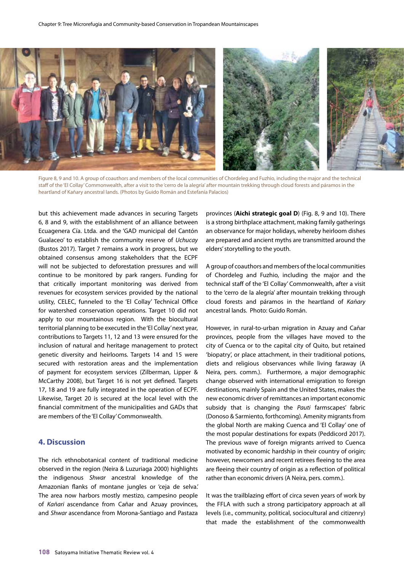

Figure 8, 9 and 10. A group of coauthors and members of the local communities of Chordeleg and Fuzhio, including the major and the technical staff of the 'El Collay' Commonwealth, after a visit to the 'cerro de la alegría' after mountain trekking through cloud forests and páramos in the heartland of Kañary ancestral lands. (Photos by Guido Román and Estefanía Palacios)

but this achievement made advances in securing Targets 6, 8 and 9, with the establishment of an alliance between Ecuagenera Cía. Ltda. and the 'GAD municipal del Cantón Gualaceo' to establish the community reserve of *Uchucay* (Bustos 2017). Target 7 remains a work in progress, but we obtained consensus among stakeholders that the ECPF will not be subjected to deforestation pressures and will continue to be monitored by park rangers. Funding for that critically important monitoring was derived from revenues for ecosystem services provided by the national utility, CELEC, funneled to the 'El Collay' Technical Office for watershed conservation operations. Target 10 did not apply to our mountainous region. With the biocultural territorial planning to be executed in the 'El Collay' next year, contributions to Targets 11, 12 and 13 were ensured for the inclusion of natural and heritage management to protect genetic diversity and heirlooms. Targets 14 and 15 were secured with restoration areas and the implementation of payment for ecosystem services (Zilberman, Lipper & McCarthy 2008), but Target 16 is not yet defined. Targets 17, 18 and 19 are fully integrated in the operation of ECPF. Likewise, Target 20 is secured at the local level with the financial commitment of the municipalities and GADs that are members of the 'El Collay' Commonwealth.

# **4. Discussion**

The rich ethnobotanical content of traditional medicine observed in the region (Neira & Luzuriaga 2000) highlights the indigenous *Shwar* ancestral knowledge of the Amazonian flanks of montane jungles or 'ceja de selva.' The area now harbors mostly mestizo, campesino people of *Kañari* ascendance from Cañar and Azuay provinces, and *Shwar* ascendance from Morona-Santiago and Pastaza

provinces (**Aichi strategic goal D**) (Fig. 8, 9 and 10). There is a strong birthplace attachment, making family gatherings an observance for major holidays, whereby heirloom dishes are prepared and ancient myths are transmitted around the elders' storytelling to the youth.

A group of coauthors and members of the local communities of Chordeleg and Fuzhio, including the major and the technical staff of the 'El Collay' Commonwealth, after a visit to the 'cerro de la alegría' after mountain trekking through cloud forests and páramos in the heartland of *Kañary* ancestral lands. Photo: Guido Román.

However, in rural-to-urban migration in Azuay and Cañar provinces, people from the villages have moved to the city of Cuenca or to the capital city of Quito, but retained 'biopatry', or place attachment, in their traditional potions, diets and religious observances while living faraway (A Neira, pers. comm.). Furthermore, a major demographic change observed with international emigration to foreign destinations, mainly Spain and the United States, makes the new economic driver of remittances an important economic subsidy that is changing the *Pauti* farmscapes' fabric (Donoso & Sarmiento, forthcoming). Amenity migrants from the global North are making Cuenca and 'El Collay' one of the most popular destinations for expats (Peddicord 2017). The previous wave of foreign migrants arrived to Cuenca motivated by economic hardship in their country of origin; however, newcomers and recent retirees fleeing to the area are fleeing their country of origin as a reflection of political rather than economic drivers (A Neira, pers. comm.).

It was the trailblazing effort of circa seven years of work by the FFLA with such a strong participatory approach at all levels (i.e., community, political, sociocultural and citizenry) that made the establishment of the commonwealth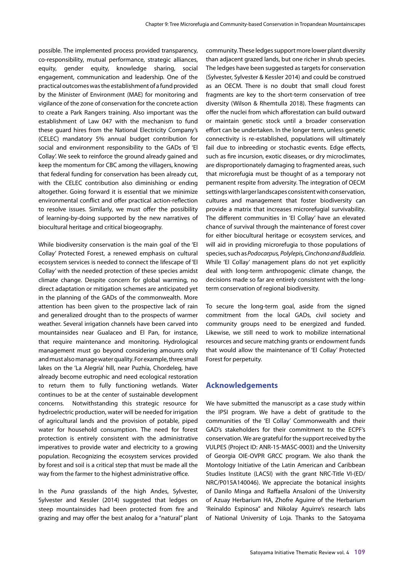possible. The implemented process provided transparency, co-responsibility, mutual performance, strategic alliances, equity, gender equity, knowledge sharing, social engagement, communication and leadership. One of the practical outcomes was the establishment of a fund provided by the Minister of Environment (MAE) for monitoring and vigilance of the zone of conservation for the concrete action to create a Park Rangers training. Also important was the establishment of Law 047 with the mechanism to fund these guard hires from the National Electricity Company's (CELEC) mandatory 5% annual budget contribution for social and environment responsibility to the GADs of 'El Collay'. We seek to reinforce the ground already gained and keep the momentum for CBC among the villagers, knowing that federal funding for conservation has been already cut, with the CELEC contribution also diminishing or ending altogether. Going forward it is essential that we minimize environmental conflict and offer practical action-reflection to resolve issues. Similarly, we must offer the possibility of learning-by-doing supported by the new narratives of biocultural heritage and critical biogeography.

While biodiversity conservation is the main goal of the 'El Collay' Protected Forest, a renewed emphasis on cultural ecosystem services is needed to connect the lifescape of 'El Collay' with the needed protection of these species amidst climate change. Despite concern for global warming, no direct adaptation or mitigation schemes are anticipated yet in the planning of the GADs of the commonwealth. More attention has been given to the prospective lack of rain and generalized drought than to the prospects of warmer weather. Several irrigation channels have been carved into mountainsides near Gualaceo and El Pan, for instance, that require maintenance and monitoring. Hydrological management must go beyond considering amounts only and must also manage water quality. For example, three small lakes on the 'La Alegría' hill, near Puzhía, Chordeleg, have already become eutrophic and need ecological restoration to return them to fully functioning wetlands. Water continues to be at the center of sustainable development concerns. Notwithstanding this strategic resource for hydroelectric production, water will be needed for irrigation of agricultural lands and the provision of potable, piped water for household consumption. The need for forest protection is entirely consistent with the administrative imperatives to provide water and electricity to a growing population. Recognizing the ecosystem services provided by forest and soil is a critical step that must be made all the way from the farmer to the highest administrative office.

In the *Puna* grasslands of the high Andes, Sylvester, Sylvester and Kessler (2014) suggested that ledges on steep mountainsides had been protected from fire and grazing and may offer the best analog for a "natural" plant

community. These ledges support more lower plant diversity than adjacent grazed lands, but one richer in shrub species. The ledges have been suggested as targets for conservation (Sylvester, Sylvester & Kessler 2014) and could be construed as an OECM. There is no doubt that small cloud forest fragments are key to the short-term conservation of tree diversity (Wilson & Rhemtulla 2018). These fragments can offer the nuclei from which afforestation can build outward or maintain genetic stock until a broader conservation effort can be undertaken. In the longer term, unless genetic connectivity is re-established, populations will ultimately fail due to inbreeding or stochastic events. Edge effects, such as fire incursion, exotic diseases, or dry microclimates, are disproportionately damaging to fragmented areas, such that microrefugia must be thought of as a temporary not permanent respite from adversity. The integration of OECM settings with larger landscapes consistent with conservation, cultures and management that foster biodiversity can provide a matrix that increases microrefugial survivability. The different communities in 'El Collay' have an elevated chance of survival through the maintenance of forest cover for either biocultural heritage or ecosystem services, and will aid in providing microrefugia to those populations of species, such as *Podocarpus, Polylepis, Cinchona and Buddleia.*  While 'El Collay' management plans do not yet explicitly deal with long-term anthropogenic climate change, the decisions made so far are entirely consistent with the longterm conservation of regional biodiversity.

To secure the long-term goal, aside from the signed commitment from the local GADs, civil society and community groups need to be energized and funded. Likewise, we still need to work to mobilize international resources and secure matching grants or endowment funds that would allow the maintenance of 'El Collay' Protected Forest for perpetuity.

#### **Acknowledgements**

We have submitted the manuscript as a case study within the IPSI program. We have a debt of gratitude to the communities of the 'El Collay' Commonwealth and their GAD's stakeholders for their commitment to the ECPF's conservation. We are grateful for the support received by the VULPES (Project ID: ANR-15-MASC-0003) and the University of Georgia OIE-OVPR GRCC program. We also thank the Montology Initiative of the Latin American and Caribbean Studies Institute (LACSI) with the grant NRC-Title VI-(ED/ NRC/P015A140046). We appreciate the botanical insights of Danilo Minga and Raffaella Ansaloni of the University of Azuay Herbarium HA, Zhofre Aguirre of the Herbarium 'Reinaldo Espinosa" and Nikolay Aguirre's research labs of National University of Loja. Thanks to the Satoyama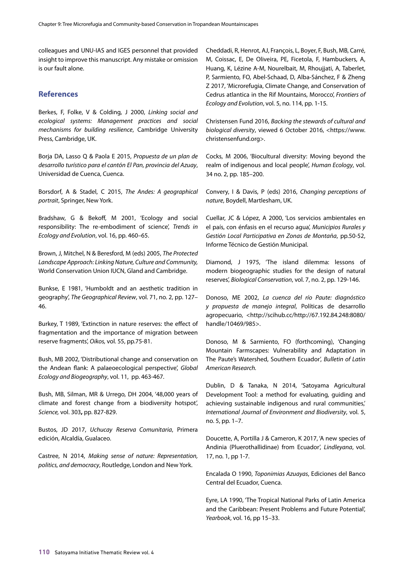colleagues and UNU-IAS and IGES personnel that provided insight to improve this manuscript. Any mistake or omission is our fault alone.

## **References**

Berkes, F, Folke, V & Colding, J 2000, *Linking social and ecological systems: Management practices and social mechanisms for building resilience*, Cambridge University Press, Cambridge, UK.

Borja DA, Lasso Q & Paola E 2015, *Propuesta de un plan de desarrollo turístico para el cantón El Pan, provincia del Azuay*, Universidad de Cuenca, Cuenca.

Borsdorf, A & Stadel, C 2015, *The Andes: A geographical portrait*, Springer, New York.

Bradshaw, G & Bekoff, M 2001, 'Ecology and social responsibility: The re-embodiment of science', *Trends in Ecology and Evolution*, vol. 16, pp. 460–65.

Brown, J, Mitchel, N & Beresford, M (eds) 2005, *The Protected Landscape Approach: Linking Nature, Culture and Community,* World Conservation Union IUCN, Gland and Cambridge.

Bunkse, E 1981, 'Humboldt and an aesthetic tradition in geography', *The Geographical Review*, vol. 71, no. 2, pp. 127– 46.

Burkey, T 1989, 'Extinction in nature reserves: the effect of fragmentation and the importance of migration between reserve fragments', *Oikos,* vol. 55, pp.75-81.

Bush, MB 2002, 'Distributional change and conservation on the Andean flank: A palaeoecological perspective', *Global Ecology and Biogeography*, vol. 11, pp. 463-467.

Bush, MB, Silman, MR & Urrego, DH 2004, '48,000 years of climate and forest change from a biodiversity hotspot', *Science,* vol. 303**,** pp. 827-829.

Bustos, JD 2017, *Uchucay Reserva Comunitaria*, Primera edición, Alcaldía, Gualaceo.

Castree, N 2014, *Making sense of nature: Representation, politics, and democracy*, Routledge, London and New York.

Cheddadi, R, Henrot, AJ, François, L, Boyer, F, Bush, MB, Carré, M, Coissac, E, De Oliveira, PE, Ficetola, F, Hambuckers, A, Huang, K, Lézine A-M, Nourelbait, M, Rhoujjati, A, Taberlet, P, Sarmiento, FO, Abel-Schaad, D, Alba-Sánchez, F & Zheng Z 2017, 'Microrefugia, Climate Change, and Conservation of Cedrus atlantica in the Rif Mountains, Morocco', *Frontiers of Ecology and Evolution*, vol. 5, no. 114, pp. 1-15*.* 

Christensen Fund 2016, *Backing the stewards of cultural and biological diversity*, viewed 6 October 2016, <https://www. christensenfund.org>.

Cocks, M 2006, 'Biocultural diversity: Moving beyond the realm of indigenous and local people', *Human Ecology*, vol. 34 no. 2, pp. 185–200.

Convery, I & Davis, P (eds) 2016, *Changing perceptions of nature*, Boydell, Martlesham, UK.

Cuellar, JC & López, A 2000, 'Los servicios ambientales en el país, con énfasis en el recurso agua', *Municipios Rurales y Gestión Local Participativa en Zonas de Montaña*, pp.50-52, Informe Técnico de Gestión Municipal.

Diamond, J 1975, 'The island dilemma: lessons of modern biogeographic studies for the design of natural reserves', *Biological Conservation*, vol. 7, no. 2, pp. 129-146.

Donoso, ME 2002, *La cuenca del río Paute: diagnóstico y propuesta de manejo integral*, Políticas de desarrollo agropecuario, <http://scihub.cc/http://67.192.84.248:8080/ handle/10469/985>.

Donoso, M & Sarmiento, FO (forthcoming), 'Changing Mountain Farmscapes: Vulnerability and Adaptation in The Paute's Watershed, Southern Ecuador', *Bulletin of Latin American Research.*

Dublin, D & Tanaka, N 2014, 'Satoyama Agricultural Development Tool: a method for evaluating, guiding and achieving sustainable indigenous and rural communities,' *International Journal of Environment and Biodiversity*, vol. 5, no. 5, pp. 1–7.

Doucette, A, Portilla J & Cameron, K 2017, 'A new species of Andinia (Pluerothallidinae) from Ecuador', *Lindleyana*, vol. 17, no. 1, pp 1-7.

Encalada O 1990, *Toponimias Azuayas*, Ediciones del Banco Central del Ecuador, Cuenca.

Eyre, LA 1990, 'The Tropical National Parks of Latin America and the Caribbean: Present Problems and Future Potential', *Yearbook*, vol. 16, pp 15–33.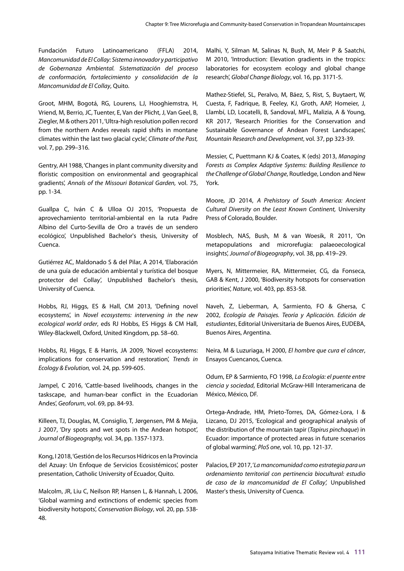Fundación Futuro Latinoamericano (FFLA) 2014, *Mancomunidad de El Collay: Sistema innovador y participativo de Gobernanza Ambiental. Sistematización del proceso de conformación, fortalecimiento y consolidación de la Mancomunidad de El Collay*, Quito.

Groot, MHM, Bogotá, RG, Lourens, LJ, Hooghiemstra, H, Vriend, M, Berrio, JC, Tuenter, E, Van der Plicht, J, Van Geel, B, Ziegler, M & others 2011, 'Ultra-high resolution pollen record from the northern Andes reveals rapid shifts in montane climates within the last two glacial cycle', *Climate of the Past,* vol. 7, pp. 299–316.

Gentry, AH 1988, 'Changes in plant community diversity and floristic composition on environmental and geographical gradients', *Annals of the Missouri Botanical Garden,* vol. 75, pp. 1-34.

Guallpa C, Iván C & Ulloa OJ 2015, 'Propuesta de aprovechamiento territorial-ambiental en la ruta Padre Albino del Curto-Sevilla de Oro a través de un sendero ecológico', Unpublished Bachelor's thesis, University of Cuenca.

Gutiérrez AC, Maldonado S & del Pilar, A 2014, 'Elaboración de una guía de educación ambiental y turística del bosque protector del Collay', Unpublished Bachelor's thesis, University of Cuenca.

Hobbs, RJ, Higgs, ES & Hall, CM 2013, 'Defining novel ecosystems', in *Novel ecosystems: intervening in the new ecological world order*, eds RJ Hobbs, ES Higgs & CM Hall, Wiley-Blackwell, Oxford, United Kingdom, pp. 58–60.

Hobbs, RJ, Higgs, E & Harris, JA 2009, 'Novel ecosystems: implications for conservation and restoration', *Trends in Ecology & Evolution,* vol. 24, pp. 599-605.

Jampel, C 2016, 'Cattle-based livelihoods, changes in the taskscape, and human-bear conflict in the Ecuadorian Andes', *Geoforum*, vol. 69, pp. 84-93.

Killeen, TJ, Douglas, M, Consiglio, T, Jørgensen, PM & Mejia, J 2007, 'Dry spots and wet spots in the Andean hotspot', *Journal of Biogeography,* vol. 34, pp. 1357-1373.

Kong, I 2018, 'Gestión de los Recursos Hídricos en la Provincia del Azuay: Un Enfoque de Servicios Ecosistémicos', poster presentation, Catholic University of Ecuador, Quito.

Malcolm, JR, Liu C, Neilson RP, Hansen L, & Hannah, L 2006, 'Global warming and extinctions of endemic species from biodiversity hotspots', *Conservation Biology*, vol. 20, pp. 538- 48.

Malhi, Y, Silman M, Salinas N, Bush, M, Meir P & Saatchi, M 2010, 'Introduction: Elevation gradients in the tropics: laboratories for ecosystem ecology and global change research', *Global Change Biology*, vol. 16, pp. 3171-5.

Mathez-Stiefel, SL, Peralvo, M, Báez, S, Rist, S, Buytaert, W, Cuesta, F, Fadrique, B, Feeley, KJ, Groth, AAP, Homeier, J, Llambí, LD, Locatelli, B, Sandoval, MFL, Malizia, A & Young, KR 2017, 'Research Priorities for the Conservation and Sustainable Governance of Andean Forest Landscapes', *Mountain Research and Development*, vol. 37, pp 323-39.

Messier, C, Puettmann KJ & Coates, K (eds) 2013, *Managing Forests as Complex Adaptive Systems: Building Resilience to the Challenge of Global Change*, Routledge, London and New York.

Moore, JD 2014, *A Prehistory of South America: Ancient Cultural Diversity on the Least Known Continent,* University Press of Colorado, Boulder.

Mosblech, NAS, Bush, M & van Woesik, R 2011, 'On metapopulations and microrefugia: palaeoecological insights', *Journal of Biogeography*, vol. 38, pp. 419–29.

Myers, N, Mittermeier, RA, Mittermeier, CG, da Fonseca, GAB & Kent, J 2000, 'Biodiversity hotspots for conservation priorities', *Nature*, vol. 403, pp. 853-58.

Naveh, Z, Lieberman, A, Sarmiento, FO & Ghersa, C 2002, *Ecología de Paisajes. Teoría y Aplicación. Edición de estudiantes*, Editorial Universitaria de Buenos Aires, EUDEBA, Buenos Aires, Argentina.

Neira, M & Luzuriaga, H 2000, *El hombre que cura el cáncer*, Ensayos Cuencanos, Cuenca.

Odum, EP & Sarmiento, FO 1998, *La Ecología: el puente entre ciencia y sociedad*, Editorial McGraw-Hill Interamericana de México, México, DF.

Ortega-Andrade, HM, Prieto-Torres, DA, Gómez-Lora, I & Lizcano, DJ 2015, 'Ecological and geographical analysis of the distribution of the mountain tapir (*Tapirus pinchaque*) in Ecuador: importance of protected areas in future scenarios of global warming', *PloS one*, vol. 10, pp. 121-37.

Palacios, EP 2017, '*La mancomunidad como estrategia para un ordenamiento territorial con pertinencia biocultural: estudio de caso de la mancomunidad de El Collay',* Unpublished Master's thesis, University of Cuenca.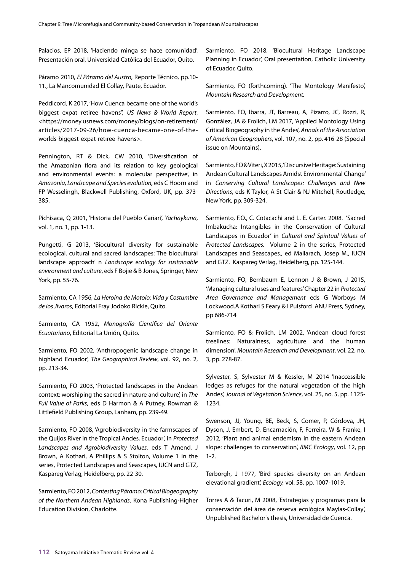Palacios, EP 2018, 'Haciendo minga se hace comunidad', Presentación oral, Universidad Católica del Ecuador, Quito.

Páramo 2010, *El Páramo del Austro*, Reporte Técnico, pp.10- 11., La Mancomunidad El Collay, Paute, Ecuador.

Peddicord, K 2017, 'How Cuenca became one of the world's biggest expat retiree havens", *US News & World Report*, <https://money.usnews.com/money/blogs/on-retirement/ articles/2017-09-26/how-cuenca-became-one-of-theworlds-biggest-expat-retiree-havens>.

Pennington, RT & Dick, CW 2010, 'Diversification of the Amazonian flora and its relation to key geological and environmental events: a molecular perspective', in *Amazonia, Landscape and Species evolution,* eds C Hoorn and FP Wesselingh, Blackwell Publishing, Oxford, UK, pp. 373- 385.

Pichisaca, Q 2001, 'Historia del Pueblo Cañari', *Yachaykuna*, vol. 1, no. 1, pp. 1-13.

Pungetti, G 2013, 'Biocultural diversity for sustainable ecological, cultural and sacred landscapes: The biocultural landscape approach' n *Landscape ecology for sustainable environment and culture*, eds F Bojie & B Jones, Springer, New York, pp. 55-76.

Sarmiento, CA 1956, *La Heroína de Motolo: Vida y Costumbre de los Jívaros*, Editorial Fray Jodoko Rickie, Quito.

Sarmiento, CA 1952, *Monografía Científica del Oriente Ecuatoriano*, Editorial La Unión, Quito.

Sarmiento, FO 2002, 'Anthropogenic landscape change in highland Ecuador', *The Geographical Review*, vol. 92, no. 2, pp. 213-34.

Sarmiento, FO 2003, 'Protected landscapes in the Andean context: worshiping the sacred in nature and culture', in *The Full Value of Parks*, eds D Harmon & A Putney, Rowman & Littlefield Publishing Group, Lanham, pp. 239-49.

Sarmiento, FO 2008, 'Agrobiodiversity in the farmscapes of the Quijos River in the Tropical Andes, Ecuador', in *Protected Landscapes and Agrobiodiversity Values*, eds T Amend, J Brown, A Kothari, A Phillips & S Stolton, Volume 1 in the series, Protected Landscapes and Seascapes, IUCN and GTZ, Kaspareg Verlag, Heidelberg, pp. 22-30.

Sarmiento, FO 2012, *Contesting Páramo: Critical Biogeography of the Northern Andean Highlands*, Kona Publishing-Higher Education Division, Charlotte.

Sarmiento, FO 2018, 'Biocultural Heritage Landscape Planning in Ecuador', Oral presentation, Catholic University of Ecuador, Quito.

Sarmiento, FO (forthcoming). 'The Montology Manifesto', *Mountain Research and Development.*

Sarmiento, FO, Ibarra, JT, Barreau, A, Pizarro, JC, Rozzi, R, González, JA & Frolich, LM 2017, 'Applied Montology Using Critical Biogeography in the Andes', *Annals of the Association of American Geographers*, vol. 107, no. 2, pp. 416-28 (Special issue on Mountains).

Sarmiento, FO & Viteri, X 2015, 'Discursive Heritage: Sustaining Andean Cultural Landscapes Amidst Environmental Change' in *Conserving Cultural Landscapes: Challenges and New Directions*, eds K Taylor, A St Clair & NJ Mitchell, Routledge, New York, pp. 309-324.

Sarmiento, F.O., C. Cotacachi and L. E. Carter. 2008. 'Sacred Imbakucha: Intangibles in the Conservation of Cultural Landscapes in Ecuador' in *Cultural and Spiritual Values of Protected Landscapes.* Volume 2 in the series, Protected Landscapes and Seascapes., ed Mallarach, Josep M., IUCN and GTZ. Kaspareg Verlag, Heidelberg, pp. 125-144.

Sarmiento, FO, Bernbaum E, Lennon J & Brown, J 2015, 'Managing cultural uses and features' Chapter 22 in *Protected Area Governance and Management* eds G Worboys M Lockwood.A Kothari S Feary & I Pulsford ANU Press, Sydney, pp 686-714

Sarmiento, FO & Frolich, LM 2002, 'Andean cloud forest treelines: Naturalness, agriculture and the human dimension', *Mountain Research and Development*, vol. 22, no. 3, pp. 278-87.

Sylvester, S, Sylvester M & Kessler, M 2014 'Inaccessible ledges as refuges for the natural vegetation of the high Andes', *Journal of Vegetation Science*, vol. 25, no. 5, pp. 1125- 1234.

Swenson, JJ, Young, BE, Beck, S, Comer, P, Córdova, JH, Dyson, J, Embert, D, Encarnación, F, Ferreira, W & Franke, I 2012, 'Plant and animal endemism in the eastern Andean slope: challenges to conservation', *BMC Ecology*, vol. 12, pp 1-2.

Terborgh, J 1977, 'Bird species diversity on an Andean elevational gradient', *Ecology,* vol. 58, pp. 1007-1019.

Torres A & Tacuri, M 2008, 'Estrategias y programas para la conservación del área de reserva ecológica Maylas-Collay', Unpublished Bachelor's thesis, Universidad de Cuenca.